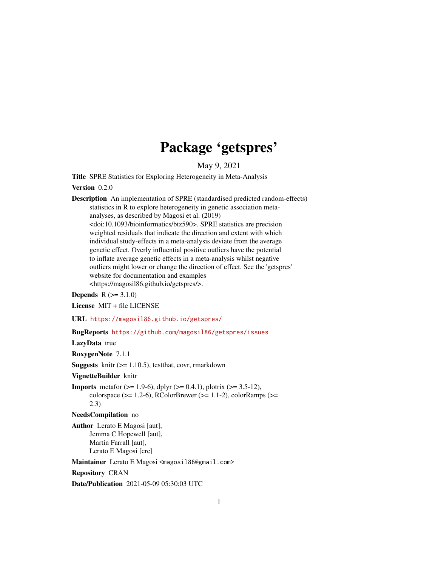## Package 'getspres'

May 9, 2021

<span id="page-0-0"></span>Title SPRE Statistics for Exploring Heterogeneity in Meta-Analysis

Version 0.2.0

Description An implementation of SPRE (standardised predicted random-effects) statistics in R to explore heterogeneity in genetic association metaanalyses, as described by Magosi et al. (2019) <doi:10.1093/bioinformatics/btz590>. SPRE statistics are precision weighted residuals that indicate the direction and extent with which individual study-effects in a meta-analysis deviate from the average genetic effect. Overly influential positive outliers have the potential to inflate average genetic effects in a meta-analysis whilst negative outliers might lower or change the direction of effect. See the 'getspres' website for documentation and examples <https://magosil86.github.io/getspres/>.

**Depends**  $R (=3.1.0)$ 

License MIT + file LICENSE

URL <https://magosil86.github.io/getspres/>

BugReports <https://github.com/magosil86/getspres/issues>

LazyData true

RoxygenNote 7.1.1

**Suggests** knitr  $(>= 1.10.5)$ , testthat, covr, rmarkdown

VignetteBuilder knitr

**Imports** metafor ( $> = 1.9-6$ ), dplyr ( $> = 0.4.1$ ), plotrix ( $> = 3.5-12$ ), colorspace ( $>= 1.2-6$ ), RColorBrewer ( $>= 1.1-2$ ), colorRamps ( $>=$ 2.3)

NeedsCompilation no

Author Lerato E Magosi [aut], Jemma C Hopewell [aut], Martin Farrall [aut], Lerato E Magosi [cre]

Maintainer Lerato E Magosi <magosi186@gmail.com>

Repository CRAN

Date/Publication 2021-05-09 05:30:03 UTC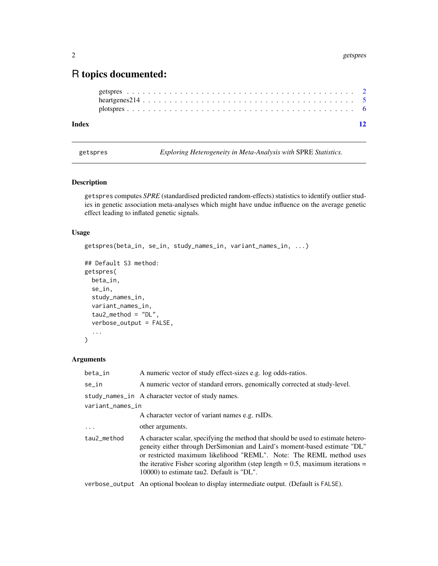### <span id="page-1-0"></span>R topics documented:

| Index |  |  |  |  |  |  |  |  |  |  |  |  |  |  |  |  |  |  |  |  |
|-------|--|--|--|--|--|--|--|--|--|--|--|--|--|--|--|--|--|--|--|--|
|       |  |  |  |  |  |  |  |  |  |  |  |  |  |  |  |  |  |  |  |  |
|       |  |  |  |  |  |  |  |  |  |  |  |  |  |  |  |  |  |  |  |  |
|       |  |  |  |  |  |  |  |  |  |  |  |  |  |  |  |  |  |  |  |  |

<span id="page-1-1"></span>getspres *Exploring Heterogeneity in Meta-Analysis with* SPRE *Statistics.*

#### Description

getspres computes *SPRE* (standardised predicted random-effects) statistics to identify outlier studies in genetic association meta-analyses which might have undue influence on the average genetic effect leading to inflated genetic signals.

#### Usage

```
getspres(beta_in, se_in, study_names_in, variant_names_in, ...)
```

```
## Default S3 method:
getspres(
 beta_in,
 se_in,
  study_names_in,
 variant_names_in,
  tau2_method = "DL",
 verbose_output = FALSE,
  ...
)
```
#### Arguments

| beta_in          | A numeric vector of study effect-sizes e.g. log odds-ratios.                                                                                                                                                                                                                                                                                                               |
|------------------|----------------------------------------------------------------------------------------------------------------------------------------------------------------------------------------------------------------------------------------------------------------------------------------------------------------------------------------------------------------------------|
| se in            | A numeric vector of standard errors, genomically corrected at study-level.                                                                                                                                                                                                                                                                                                 |
|                  | study_names_in A character vector of study names.                                                                                                                                                                                                                                                                                                                          |
| variant_names_in |                                                                                                                                                                                                                                                                                                                                                                            |
|                  | A character vector of variant names e.g. rsIDs.                                                                                                                                                                                                                                                                                                                            |
| $\ddotsc$        | other arguments.                                                                                                                                                                                                                                                                                                                                                           |
| tau2_method      | A character scalar, specifying the method that should be used to estimate hetero-<br>geneity either through DerSimonian and Laird's moment-based estimate "DL"<br>or restricted maximum likelihood "REML". Note: The REML method uses<br>the iterative Fisher scoring algorithm (step length $= 0.5$ , maximum iterations $=$<br>10000) to estimate tau2. Default is "DL". |
|                  | verbose_output An optional boolean to display intermediate output. (Default is FALSE).                                                                                                                                                                                                                                                                                     |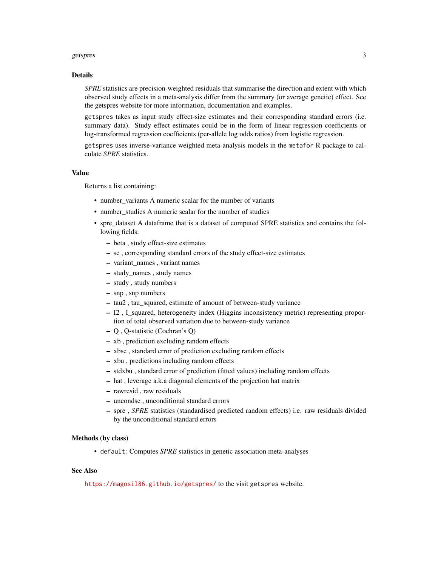#### getspres 3

#### Details

*SPRE* statistics are precision-weighted residuals that summarise the direction and extent with which observed study effects in a meta-analysis differ from the summary (or average genetic) effect. See the getspres website for more information, documentation and examples.

getspres takes as input study effect-size estimates and their corresponding standard errors (i.e. summary data). Study effect estimates could be in the form of linear regression coefficients or log-transformed regression coefficients (per-allele log odds ratios) from logistic regression.

getspres uses inverse-variance weighted meta-analysis models in the metafor R package to calculate *SPRE* statistics.

#### Value

Returns a list containing:

- number\_variants A numeric scalar for the number of variants
- number studies A numeric scalar for the number of studies
- spre\_dataset A dataframe that is a dataset of computed SPRE statistics and contains the following fields:
	- beta , study effect-size estimates
	- se , corresponding standard errors of the study effect-size estimates
	- variant\_names , variant names
	- study\_names , study names
	- study , study numbers
	- snp , snp numbers
	- tau2 , tau\_squared, estimate of amount of between-study variance
	- I2 , I\_squared, heterogeneity index (Higgins inconsistency metric) representing proportion of total observed variation due to between-study variance
	- Q , Q-statistic (Cochran's Q)
	- xb , prediction excluding random effects
	- xbse , standard error of prediction excluding random effects
	- xbu , predictions including random effects
	- stdxbu , standard error of prediction (fitted values) including random effects
	- hat , leverage a.k.a diagonal elements of the projection hat matrix
	- rawresid , raw residuals
	- uncondse , unconditional standard errors
	- spre , *SPRE* statistics (standardised predicted random effects) i.e. raw residuals divided by the unconditional standard errors

#### Methods (by class)

• default: Computes *SPRE* statistics in genetic association meta-analyses

#### See Also

<https://magosil86.github.io/getspres/> to the visit getspres website.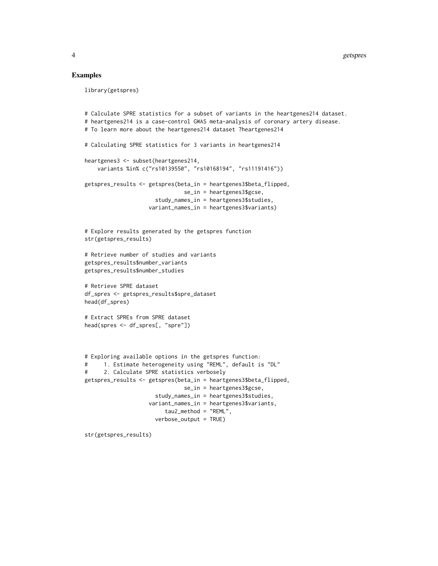#### Examples

```
library(getspres)
# Calculate SPRE statistics for a subset of variants in the heartgenes214 dataset.
# heartgenes214 is a case-control GWAS meta-analysis of coronary artery disease.
# To learn more about the heartgenes214 dataset ?heartgenes214
# Calculating SPRE statistics for 3 variants in heartgenes214
heartgenes3 <- subset(heartgenes214,
    variants %in% c("rs10139550", "rs10168194", "rs11191416"))
getspres_results <- getspres(beta_in = heartgenes3$beta_flipped,
                               se_in = heartgenes3$gcse,
                      study_names_in = heartgenes3$studies,
                    variant_names_in = heartgenes3$variants)
# Explore results generated by the getspres function
str(getspres_results)
# Retrieve number of studies and variants
getspres_results$number_variants
getspres_results$number_studies
# Retrieve SPRE dataset
df_spres <- getspres_results$spre_dataset
head(df_spres)
# Extract SPREs from SPRE dataset
head(spres <- df_spres[, "spre"])
# Exploring available options in the getspres function:
# 1. Estimate heterogeneity using "REML", default is "DL"
# 2. Calculate SPRE statistics verbosely
getspres_results <- getspres(beta_in = heartgenes3$beta_flipped,
                               se_in = heartgenes3$gcse,
                      study_names_in = heartgenes3$studies,
                    variant_names_in = heartgenes3$variants,
                         tau2_method = "REML",
                      verbose_output = TRUE)
```
str(getspres\_results)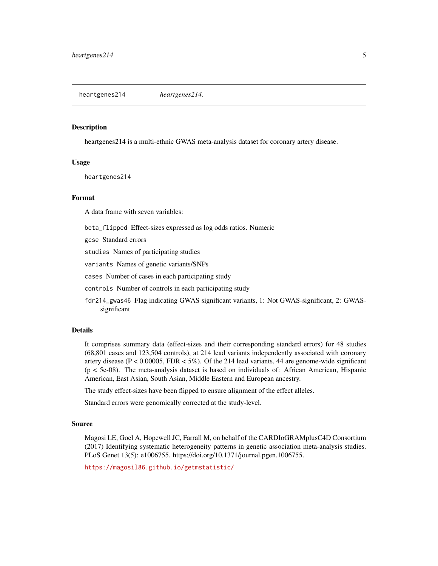<span id="page-4-0"></span>heartgenes214 *heartgenes214.*

#### **Description**

heartgenes214 is a multi-ethnic GWAS meta-analysis dataset for coronary artery disease.

#### Usage

heartgenes214

#### Format

A data frame with seven variables:

beta\_flipped Effect-sizes expressed as log odds ratios. Numeric

gcse Standard errors

studies Names of participating studies

variants Names of genetic variants/SNPs

cases Number of cases in each participating study

controls Number of controls in each participating study

fdr214\_gwas46 Flag indicating GWAS significant variants, 1: Not GWAS-significant, 2: GWASsignificant

#### Details

It comprises summary data (effect-sizes and their corresponding standard errors) for 48 studies (68,801 cases and 123,504 controls), at 214 lead variants independently associated with coronary artery disease ( $P < 0.00005$ , FDR  $< 5\%$ ). Of the 214 lead variants, 44 are genome-wide significant (p < 5e-08). The meta-analysis dataset is based on individuals of: African American, Hispanic American, East Asian, South Asian, Middle Eastern and European ancestry.

The study effect-sizes have been flipped to ensure alignment of the effect alleles.

Standard errors were genomically corrected at the study-level.

#### Source

Magosi LE, Goel A, Hopewell JC, Farrall M, on behalf of the CARDIoGRAMplusC4D Consortium (2017) Identifying systematic heterogeneity patterns in genetic association meta-analysis studies. PLoS Genet 13(5): e1006755. https://doi.org/10.1371/journal.pgen.1006755.

<https://magosil86.github.io/getmstatistic/>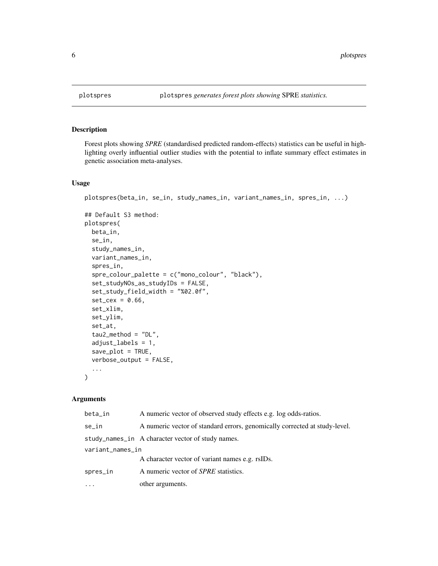#### Description

Forest plots showing *SPRE* (standardised predicted random-effects) statistics can be useful in highlighting overly influential outlier studies with the potential to inflate summary effect estimates in genetic association meta-analyses.

#### Usage

```
plotspres(beta_in, se_in, study_names_in, variant_names_in, spres_in, ...)
```

```
## Default S3 method:
plotspres(
 beta_in,
  se_in,
  study_names_in,
 variant_names_in,
  spres_in,
  spre_colour_palette = c("mono_colour", "black"),
  set_studyNOs_as_studyIDs = FALSE,
  set_study_field_width = "%02.0f",
  set\_cex = 0.66,
  set_xlim,
  set_ylim,
  set_at,
  tau2_method = "DL",adjust_labels = 1,
  save_plot = TRUE,
 verbose_output = FALSE,
  ...
)
```
#### Arguments

| beta_in          | A numeric vector of observed study effects e.g. log odds-ratios.           |  |  |  |  |  |
|------------------|----------------------------------------------------------------------------|--|--|--|--|--|
| se_in            | A numeric vector of standard errors, genomically corrected at study-level. |  |  |  |  |  |
|                  | study_names_in A character vector of study names.                          |  |  |  |  |  |
| variant_names_in |                                                                            |  |  |  |  |  |
|                  | A character vector of variant names e.g. rsIDs.                            |  |  |  |  |  |
| spres_in         | A numeric vector of <i>SPRE</i> statistics.                                |  |  |  |  |  |
|                  | other arguments.                                                           |  |  |  |  |  |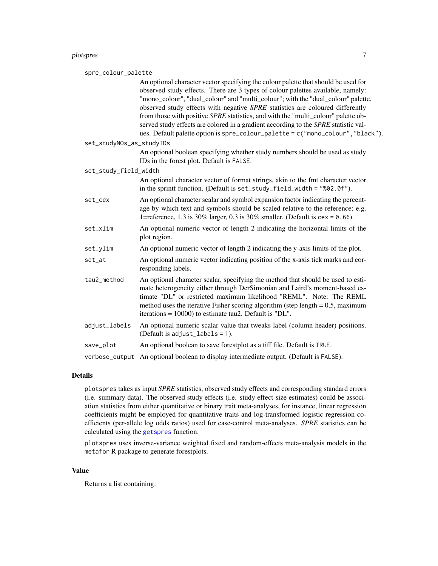<span id="page-6-0"></span>

| spre_colour_palette      |                                                                                                                                                                                                                                                                                                                                                                                                                                                                                                                                                                                                          |
|--------------------------|----------------------------------------------------------------------------------------------------------------------------------------------------------------------------------------------------------------------------------------------------------------------------------------------------------------------------------------------------------------------------------------------------------------------------------------------------------------------------------------------------------------------------------------------------------------------------------------------------------|
|                          | An optional character vector specifying the colour palette that should be used for<br>observed study effects. There are 3 types of colour palettes available, namely:<br>"mono_colour", "dual_colour" and "multi_colour"; with the "dual_colour" palette,<br>observed study effects with negative SPRE statistics are coloured differently<br>from those with positive SPRE statistics, and with the "multi_colour" palette ob-<br>served study effects are colored in a gradient according to the SPRE statistic val-<br>ues. Default palette option is spre_colour_palette = c("mono_colour","black"). |
| set_studyNOs_as_studyIDs |                                                                                                                                                                                                                                                                                                                                                                                                                                                                                                                                                                                                          |
|                          | An optional boolean specifying whether study numbers should be used as study<br>IDs in the forest plot. Default is FALSE.                                                                                                                                                                                                                                                                                                                                                                                                                                                                                |
| set_study_field_width    |                                                                                                                                                                                                                                                                                                                                                                                                                                                                                                                                                                                                          |
|                          | An optional character vector of format strings, akin to the fmt character vector<br>in the sprintf function. (Default is set_study_field_width = "%02.0f").                                                                                                                                                                                                                                                                                                                                                                                                                                              |
| set_cex                  | An optional character scalar and symbol expansion factor indicating the percent-<br>age by which text and symbols should be scaled relative to the reference; e.g.<br>1=reference, 1.3 is 30% larger, 0.3 is 30% smaller. (Default is $cex = 0.66$ ).                                                                                                                                                                                                                                                                                                                                                    |
| set_xlim                 | An optional numeric vector of length 2 indicating the horizontal limits of the<br>plot region.                                                                                                                                                                                                                                                                                                                                                                                                                                                                                                           |
| set_ylim                 | An optional numeric vector of length 2 indicating the y-axis limits of the plot.                                                                                                                                                                                                                                                                                                                                                                                                                                                                                                                         |
| set_at                   | An optional numeric vector indicating position of the x-axis tick marks and cor-<br>responding labels.                                                                                                                                                                                                                                                                                                                                                                                                                                                                                                   |
| tau2_method              | An optional character scalar, specifying the method that should be used to esti-<br>mate heterogeneity either through DerSimonian and Laird's moment-based es-<br>timate "DL" or restricted maximum likelihood "REML". Note: The REML<br>method uses the iterative Fisher scoring algorithm (step length $= 0.5$ , maximum<br>iterations = $10000$ ) to estimate tau2. Default is "DL".                                                                                                                                                                                                                  |
| adjust_labels            | An optional numeric scalar value that tweaks label (column header) positions.<br>(Default is adjust_labels = $1$ ).                                                                                                                                                                                                                                                                                                                                                                                                                                                                                      |
| save_plot                | An optional boolean to save forestplot as a tiff file. Default is TRUE.                                                                                                                                                                                                                                                                                                                                                                                                                                                                                                                                  |
| verbose_output           | An optional boolean to display intermediate output. (Default is FALSE).                                                                                                                                                                                                                                                                                                                                                                                                                                                                                                                                  |
|                          |                                                                                                                                                                                                                                                                                                                                                                                                                                                                                                                                                                                                          |

#### Details

plotspres takes as input *SPRE* statistics, observed study effects and corresponding standard errors (i.e. summary data). The observed study effects (i.e. study effect-size estimates) could be association statistics from either quantitative or binary trait meta-analyses, for instance, linear regression coefficients might be employed for quantitative traits and log-transformed logistic regression coefficients (per-allele log odds ratios) used for case-control meta-analyses. *SPRE* statistics can be calculated using the [getspres](#page-1-1) function.

plotspres uses inverse-variance weighted fixed and random-effects meta-analysis models in the metafor R package to generate forestplots.

#### Value

Returns a list containing: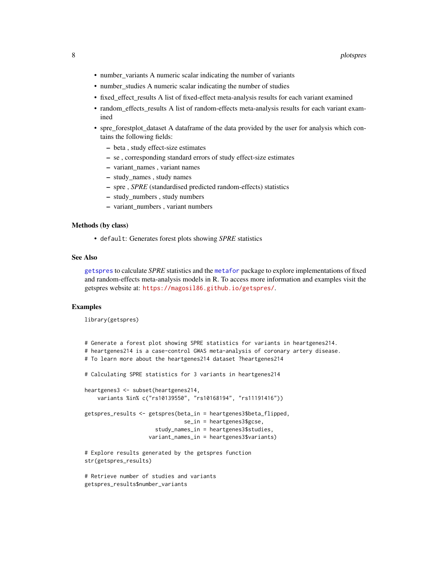- <span id="page-7-0"></span>• number\_variants A numeric scalar indicating the number of variants
- number\_studies A numeric scalar indicating the number of studies
- fixed\_effect\_results A list of fixed-effect meta-analysis results for each variant examined
- random\_effects\_results A list of random-effects meta-analysis results for each variant examined
- spre forestplot dataset A dataframe of the data provided by the user for analysis which contains the following fields:
	- beta , study effect-size estimates
	- se , corresponding standard errors of study effect-size estimates
	- variant\_names , variant names
	- study\_names , study names
	- spre , *SPRE* (standardised predicted random-effects) statistics
	- study\_numbers , study numbers
	- variant\_numbers , variant numbers

#### Methods (by class)

• default: Generates forest plots showing *SPRE* statistics

#### See Also

[getspres](#page-1-1) to calculate *SPRE* statistics and the [metafor](#page-0-0) package to explore implementations of fixed and random-effects meta-analysis models in R. To access more information and examples visit the getspres website at: <https://magosil86.github.io/getspres/>.

#### Examples

library(getspres)

```
# Generate a forest plot showing SPRE statistics for variants in heartgenes214.
# heartgenes214 is a case-control GWAS meta-analysis of coronary artery disease.
# To learn more about the heartgenes214 dataset ?heartgenes214
# Calculating SPRE statistics for 3 variants in heartgenes214
heartgenes3 <- subset(heartgenes214,
    variants %in% c("rs10139550", "rs10168194", "rs11191416"))
getspres_results <- getspres(beta_in = heartgenes3$beta_flipped,
                               se_in = heartgenes3$gcse,
                      study_names_in = heartgenes3$studies,
                    variant_names_in = heartgenes3$variants)
# Explore results generated by the getspres function
str(getspres_results)
# Retrieve number of studies and variants
getspres_results$number_variants
```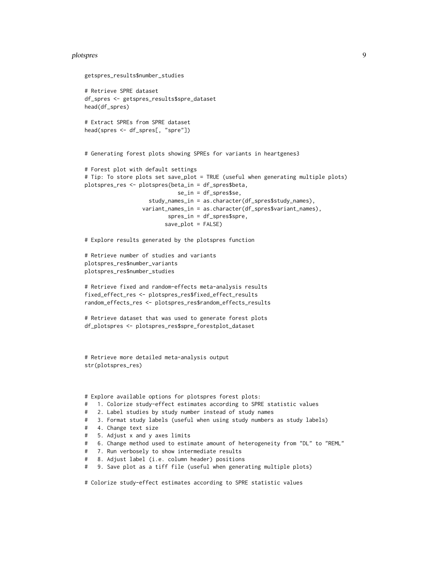#### plotspres that the contract of the contract of the contract of the contract of the contract of the contract of the contract of the contract of the contract of the contract of the contract of the contract of the contract of

```
getspres_results$number_studies
# Retrieve SPRE dataset
df_spres <- getspres_results$spre_dataset
head(df_spres)
# Extract SPREs from SPRE dataset
head(spres <- df_spres[, "spre"])
# Generating forest plots showing SPREs for variants in heartgenes3
# Forest plot with default settings
# Tip: To store plots set save_plot = TRUE (useful when generating multiple plots)
plotspres_res <- plotspres(beta_in = df_spres$beta,
                             se_in = df_spres$se,
                    study_names_in = as.character(df_spres$study_names),
                  variant_names_in = as.character(df_spres$variant_names),
                          spres_in = df_spres$spre,
                         save_plot = FALSE)
# Explore results generated by the plotspres function
# Retrieve number of studies and variants
plotspres_res$number_variants
plotspres_res$number_studies
# Retrieve fixed and random-effects meta-analysis results
fixed_effect_res <- plotspres_res$fixed_effect_results
random_effects_res <- plotspres_res$random_effects_results
# Retrieve dataset that was used to generate forest plots
df_plotspres <- plotspres_res$spre_forestplot_dataset
# Retrieve more detailed meta-analysis output
str(plotspres_res)
# Explore available options for plotspres forest plots:
# 1. Colorize study-effect estimates according to SPRE statistic values
# 2. Label studies by study number instead of study names
# 3. Format study labels (useful when using study numbers as study labels)
# 4. Change text size
# 5. Adjust x and y axes limits
```
- # 6. Change method used to estimate amount of heterogeneity from "DL" to "REML"
- # 7. Run verbosely to show intermediate results
- # 8. Adjust label (i.e. column header) positions
- # 9. Save plot as a tiff file (useful when generating multiple plots)

# Colorize study-effect estimates according to SPRE statistic values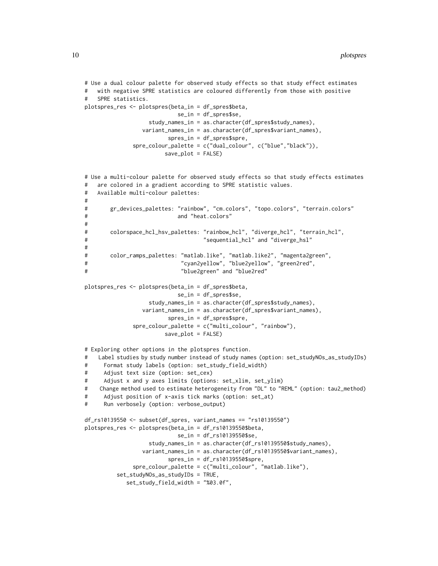```
# Use a dual colour palette for observed study effects so that study effect estimates
# with negative SPRE statistics are coloured differently from those with positive
# SPRE statistics.
plotspres_res <- plotspres(beta_in = df_spres$beta,
                           se_in = df_spres$se,
                  study_names_in = as.character(df_spres$study_names),
                variant_names_in = as.character(df_spres$variant_names),
                        spres_in = df_spres$spre,
              spre_colour_palette = c("dual_colour", c("blue","black")),
                       save_plot = FALSE)
# Use a multi-colour palette for observed study effects so that study effects estimates
# are colored in a gradient according to SPRE statistic values.
# Available multi-colour palettes:
#
# gr_devices_palettes: "rainbow", "cm.colors", "topo.colors", "terrain.colors"
# and "heat.colors"
#
# colorspace_hcl_hsv_palettes: "rainbow_hcl", "diverge_hcl", "terrain_hcl",
# "sequential_hcl" and "diverge_hsl"
#
# color_ramps_palettes: "matlab.like", "matlab.like2", "magenta2green",
# "cyan2yellow", "blue2yellow", "green2red",
# "blue2green" and "blue2red"
plotspres_res <- plotspres(beta_in = df_spres$beta,
                           se_in = df_spres$se,
                  study_names_in = as.character(df_spres$study_names),
                variant_names_in = as.character(df_spres$variant_names),
                        spres_in = df_spres$spre,
              spre_colour_palette = c("multi_colour", "rainbow"),
                       save_plot = FALSE)
# Exploring other options in the plotspres function.
# Label studies by study number instead of study names (option: set_studyNOs_as_studyIDs)
# Format study labels (option: set_study_field_width)
# Adjust text size (option: set_cex)
# Adjust x and y axes limits (options: set_xlim, set_ylim)
# Change method used to estimate heterogeneity from "DL" to "REML" (option: tau2_method)
# Adjust position of x-axis tick marks (option: set_at)
# Run verbosely (option: verbose_output)
df_rs10139550 <- subset(df_spres, variant_names == "rs10139550")
plotspres_res <- plotspres(beta_in = df_rs10139550$beta,
                           se_in = df_rs10139550$se,
                  study_names_in = as.character(df_rs10139550$study_names),
                variant_names_in = as.character(df_rs10139550$variant_names),
                        spres_in = df_rs10139550$spre,
              spre_colour_palette = c("multi_colour", "matlab.like"),
         set_studyNOs_as_studyIDs = TRUE,
            set_study_field_width = "%03.0f",
```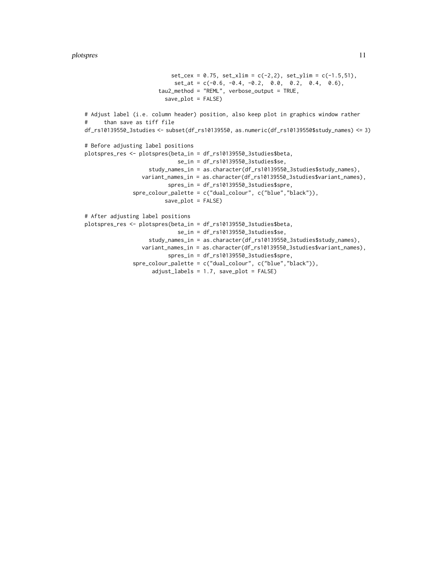```
set_cex = 0.75, set_xlim = c(-2,2), set_ylim = c(-1.5,51),
                            set\_at = c(-0.6, -0.4, -0.2, 0.0, 0.2, 0.4, 0.6),tau2_method = "REML", verbose_output = TRUE,
                         save_plot = FALSE)
# Adjust label (i.e. column header) position, also keep plot in graphics window rather
# than save as tiff file
df_rs10139550_3studies <- subset(df_rs10139550, as.numeric(df_rs10139550$study_names) <= 3)
# Before adjusting label positions
plotspres_res <- plotspres(beta_in = df_rs10139550_3studies$beta,
                             se_in = df_rs10139550_3studies$se,
                    study_names_in = as.character(df_rs10139550_3studies$study_names),
                 variant_names_in = as.character(df_rs10139550_3studies$variant_names),
                          spres_in = df_rs10139550_3studies$spre,
               spre_colour_palette = c("dual_colour", c("blue","black")),
                        save_plot = FALSE)
# After adjusting label positions
plotspres_res <- plotspres(beta_in = df_rs10139550_3studies$beta,
                             se_in = df_rs10139550_3studies$se,
                    study_names_in = as.character(df_rs10139550_3studies$study_names),
                  variant_names_in = as.character(df_rs10139550_3studies$variant_names),
                          spres_in = df_rs10139550_3studies$spre,
               spre_colour_palette = c("dual_colour", c("blue","black")),
                     adjust_labels = 1.7, save_plot = FALSE)
```